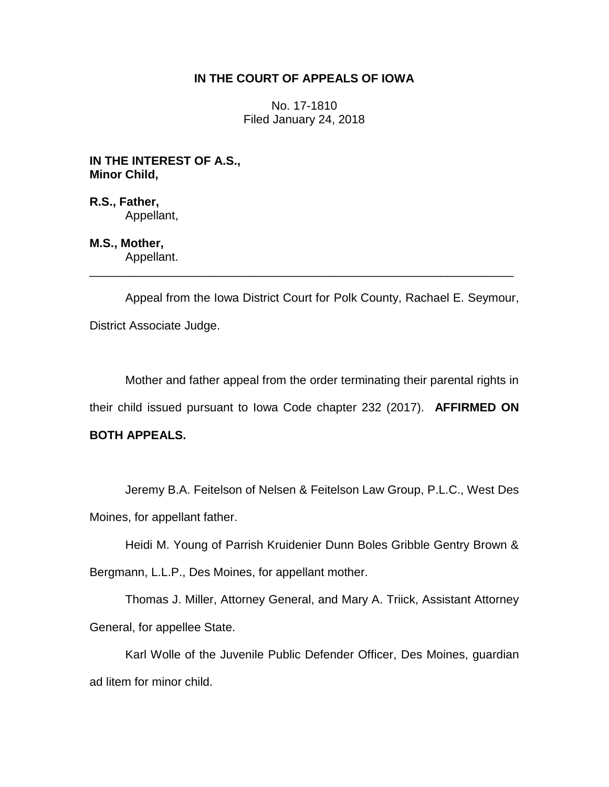## **IN THE COURT OF APPEALS OF IOWA**

No. 17-1810 Filed January 24, 2018

**IN THE INTEREST OF A.S., Minor Child,**

**R.S., Father,** Appellant,

**M.S., Mother,** Appellant.

Appeal from the Iowa District Court for Polk County, Rachael E. Seymour, District Associate Judge.

\_\_\_\_\_\_\_\_\_\_\_\_\_\_\_\_\_\_\_\_\_\_\_\_\_\_\_\_\_\_\_\_\_\_\_\_\_\_\_\_\_\_\_\_\_\_\_\_\_\_\_\_\_\_\_\_\_\_\_\_\_\_\_\_

Mother and father appeal from the order terminating their parental rights in their child issued pursuant to Iowa Code chapter 232 (2017). **AFFIRMED ON** 

## **BOTH APPEALS.**

Jeremy B.A. Feitelson of Nelsen & Feitelson Law Group, P.L.C., West Des Moines, for appellant father.

Heidi M. Young of Parrish Kruidenier Dunn Boles Gribble Gentry Brown &

Bergmann, L.L.P., Des Moines, for appellant mother.

Thomas J. Miller, Attorney General, and Mary A. Triick, Assistant Attorney General, for appellee State.

Karl Wolle of the Juvenile Public Defender Officer, Des Moines, guardian ad litem for minor child.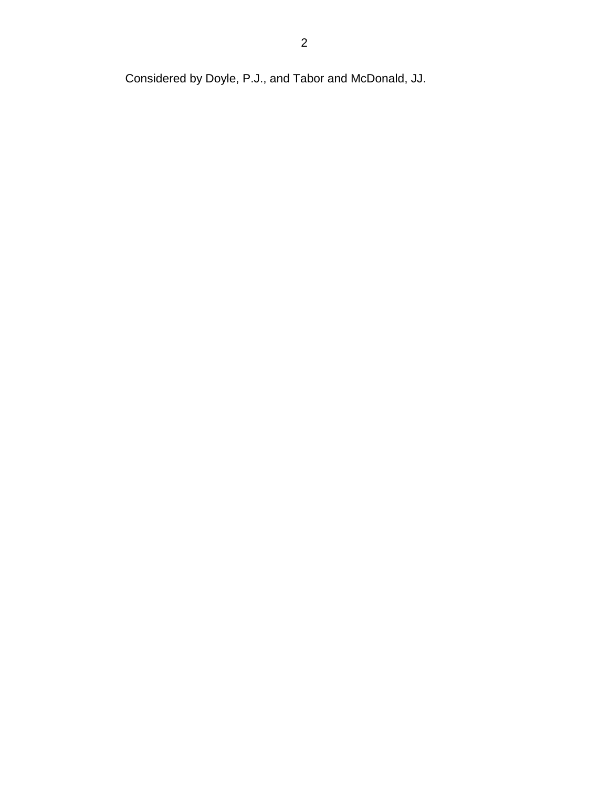Considered by Doyle, P.J., and Tabor and McDonald, JJ.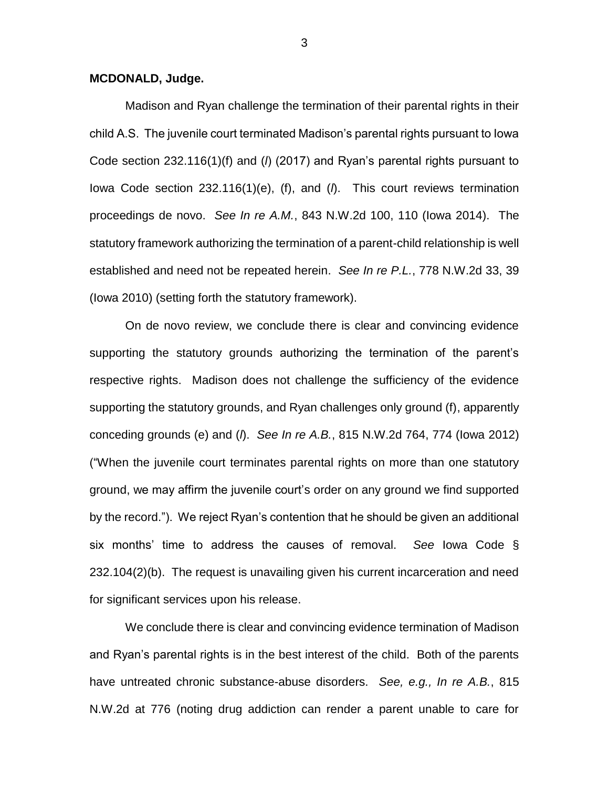## **MCDONALD, Judge.**

Madison and Ryan challenge the termination of their parental rights in their child A.S. The juvenile court terminated Madison's parental rights pursuant to Iowa Code section 232.116(1)(f) and (*l*) (2017) and Ryan's parental rights pursuant to Iowa Code section 232.116(1)(e), (f), and (*l*). This court reviews termination proceedings de novo. *See In re A.M.*, 843 N.W.2d 100, 110 (Iowa 2014). The statutory framework authorizing the termination of a parent-child relationship is well established and need not be repeated herein. *See In re P.L.*, 778 N.W.2d 33, 39 (Iowa 2010) (setting forth the statutory framework).

On de novo review, we conclude there is clear and convincing evidence supporting the statutory grounds authorizing the termination of the parent's respective rights. Madison does not challenge the sufficiency of the evidence supporting the statutory grounds, and Ryan challenges only ground (f), apparently conceding grounds (e) and (*l*). *See In re A.B.*, 815 N.W.2d 764, 774 (Iowa 2012) ("When the juvenile court terminates parental rights on more than one statutory ground, we may affirm the juvenile court's order on any ground we find supported by the record."). We reject Ryan's contention that he should be given an additional six months' time to address the causes of removal. *See* Iowa Code § 232.104(2)(b). The request is unavailing given his current incarceration and need for significant services upon his release.

We conclude there is clear and convincing evidence termination of Madison and Ryan's parental rights is in the best interest of the child. Both of the parents have untreated chronic substance-abuse disorders. *See, e.g., In re A.B.*, 815 N.W.2d at 776 (noting drug addiction can render a parent unable to care for

3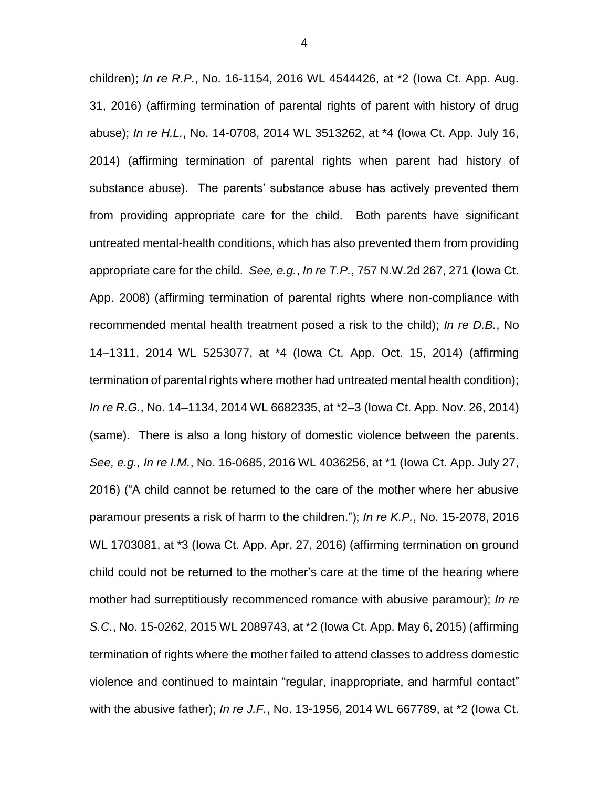children); *In re R.P.*, No. 16-1154, 2016 WL 4544426, at \*2 (Iowa Ct. App. Aug. 31, 2016) (affirming termination of parental rights of parent with history of drug abuse); *In re H.L.*, No. 14-0708, 2014 WL 3513262, at \*4 (Iowa Ct. App. July 16, 2014) (affirming termination of parental rights when parent had history of substance abuse). The parents' substance abuse has actively prevented them from providing appropriate care for the child. Both parents have significant untreated mental-health conditions, which has also prevented them from providing appropriate care for the child. *See, e.g.*, *In re T.P.*, 757 N.W.2d 267, 271 (Iowa Ct. App. 2008) (affirming termination of parental rights where non-compliance with recommended mental health treatment posed a risk to the child); *In re D.B.*, No 14–1311, 2014 WL 5253077, at \*4 (Iowa Ct. App. Oct. 15, 2014) (affirming termination of parental rights where mother had untreated mental health condition); *In re R.G.*, No. 14–1134, 2014 WL 6682335, at \*2–3 (Iowa Ct. App. Nov. 26, 2014) (same). There is also a long history of domestic violence between the parents. *See, e.g., In re I.M.*, No. 16-0685, 2016 WL 4036256, at \*1 (Iowa Ct. App. July 27, 2016) ("A child cannot be returned to the care of the mother where her abusive paramour presents a risk of harm to the children."); *In re K.P.*, No. 15-2078, 2016 WL 1703081, at \*3 (Iowa Ct. App. Apr. 27, 2016) (affirming termination on ground child could not be returned to the mother's care at the time of the hearing where mother had surreptitiously recommenced romance with abusive paramour); *In re S.C.*, No. 15-0262, 2015 WL 2089743, at \*2 (Iowa Ct. App. May 6, 2015) (affirming termination of rights where the mother failed to attend classes to address domestic violence and continued to maintain "regular, inappropriate, and harmful contact" with the abusive father); *In re J.F.*, No. 13-1956, 2014 WL 667789, at \*2 (Iowa Ct.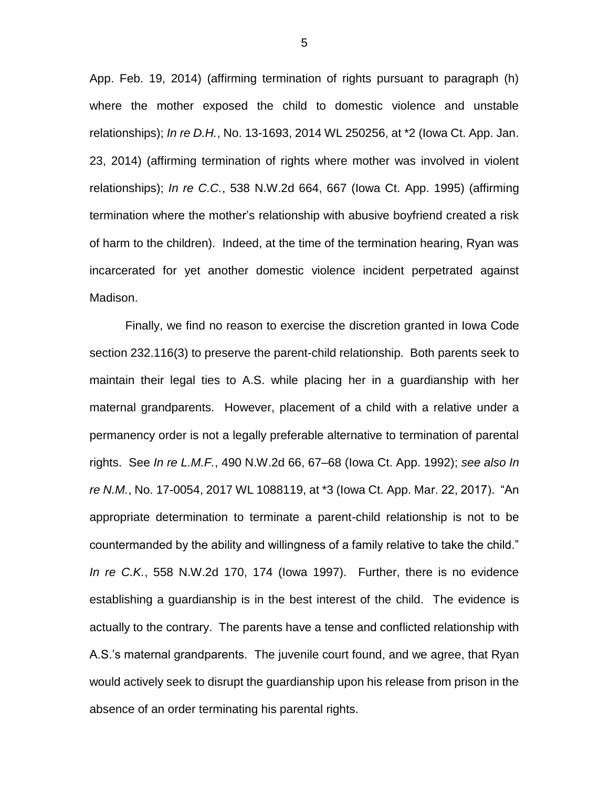App. Feb. 19, 2014) (affirming termination of rights pursuant to paragraph (h) where the mother exposed the child to domestic violence and unstable relationships); *In re D.H.*, No. 13-1693, 2014 WL 250256, at \*2 (Iowa Ct. App. Jan. 23, 2014) (affirming termination of rights where mother was involved in violent relationships); *In re C.C.*, 538 N.W.2d 664, 667 (Iowa Ct. App. 1995) (affirming termination where the mother's relationship with abusive boyfriend created a risk of harm to the children). Indeed, at the time of the termination hearing, Ryan was incarcerated for yet another domestic violence incident perpetrated against Madison.

Finally, we find no reason to exercise the discretion granted in Iowa Code section 232.116(3) to preserve the parent-child relationship. Both parents seek to maintain their legal ties to A.S. while placing her in a guardianship with her maternal grandparents. However, placement of a child with a relative under a permanency order is not a legally preferable alternative to termination of parental rights. See *In re L.M.F.*, 490 N.W.2d 66, 67–68 (Iowa Ct. App. 1992); *see also In re N.M.*, No. 17-0054, 2017 WL 1088119, at \*3 (Iowa Ct. App. Mar. 22, 2017). "An appropriate determination to terminate a parent-child relationship is not to be countermanded by the ability and willingness of a family relative to take the child." *In re C.K.*, 558 N.W.2d 170, 174 (Iowa 1997). Further, there is no evidence establishing a guardianship is in the best interest of the child. The evidence is actually to the contrary. The parents have a tense and conflicted relationship with A.S.'s maternal grandparents. The juvenile court found, and we agree, that Ryan would actively seek to disrupt the guardianship upon his release from prison in the absence of an order terminating his parental rights.